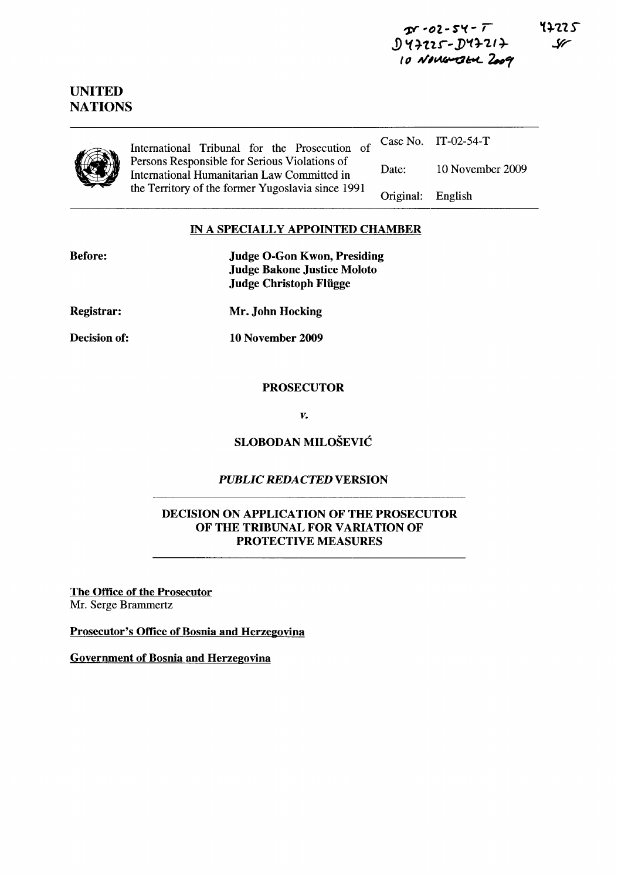~ *"f)2.* - S',,( - ,  $J$ 47225 -  $J$ 47217  $10$  Novem  $364$   $2009$ 



# UNITED **NATIONS**

International Tribunal for the Prosecution of Persons Responsible for Serious Violations of International Humanitarian Law Committed in the Territory of the former Yugoslavia since 1991 Case No. IT-02-54-T Date: Original: 10 November 2009 English

## IN A SPECIALLY APPOINTED CHAMBER

| <b>Before:</b>      | <b>Judge O-Gon Kwon, Presiding</b><br><b>Judge Bakone Justice Moloto</b><br><b>Judge Christoph Flügge</b> |
|---------------------|-----------------------------------------------------------------------------------------------------------|
| <b>Registrar:</b>   | Mr. John Hocking                                                                                          |
| <b>Decision of:</b> | 10 November 2009                                                                                          |
|                     | <b>PROSECUTOR</b>                                                                                         |

*v.* 

## SLOBODAN MILOSEVIC

## *PUBLIC REDACTED* VERSION

## DECISION ON APPLICATION OF THE PROSECUTOR OF THE TRIBUNAL FOR VARIATION OF PROTECTIVE MEASURES

The Office of the Prosecutor Mr. Serge Brammertz

Prosecutor's Office of Bosnia and Herzegovina

Government of Bosnia and Herzegovina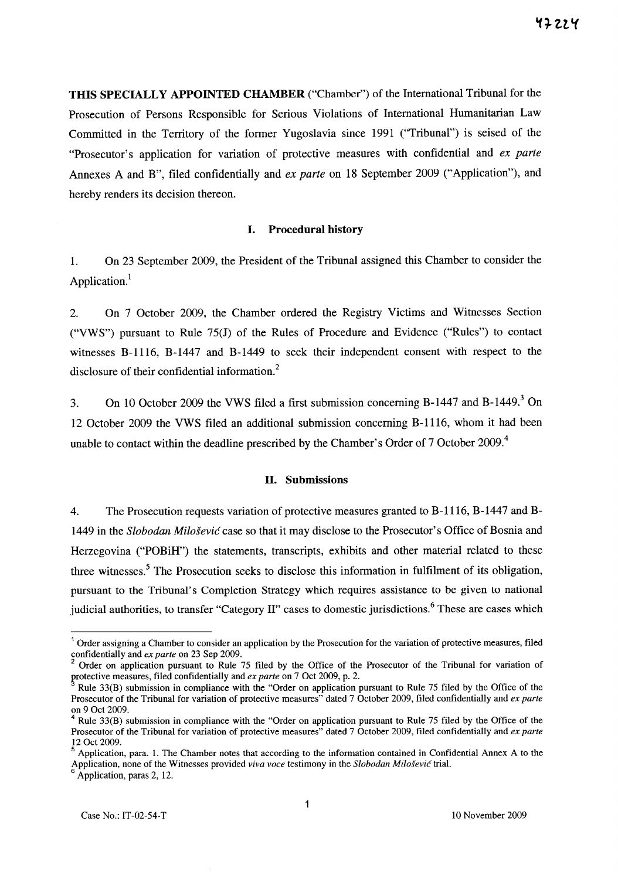**THIS SPECIALLY APPOINTED CHAMBER** ("Chamber") of the International Tribunal for the Prosecution of Persons Responsible for Serious Violations of International Humanitarian Law Committed in the Territory of the former Yugoslavia since 1991 ("Tribunal") is seised of the "Prosecutor's application for variation of protective measures with confidential and *ex parte*  Annexes A and B", filed confidentially and *ex parte* on 18 September 2009 ("Application"), and hereby renders its decision thereon.

## **I. Procedural history**

1. On 23 September 2009, the President of the Tribunal assigned this Chamber to consider the Application.<sup>1</sup>

2. On 7 October 2009, the Chamber ordered the Registry Victims and Witnesses Section ("VWS") pursuant to Rule 75(J) of the Rules of Procedure and Evidence ("Rules") to contact witnesses B-1116, B-1447 and B-1449 to seek their independent consent with respect to the disclosure of their confidential information.<sup>2</sup>

3. On 10 October 2009 the VWS filed a first submission concerning B-1447 and B-1449? On 12 October 2009 the VWS filed an additional submission concerning B-1116, whom it had been unable to contact within the deadline prescribed by the Chamber's Order of 7 October 2009.<sup>4</sup>

### **11. Submissions**

4. The Prosecution requests variation of protective measures granted to B-1116, B-1447 and B-1449 in the *Slobodan Milosevic* case so that it may disclose to the Prosecutor's Office of Bosnia and Herzegovina ("POBiH") the statements, transcripts, exhibits and other material related to these three witnesses.<sup>5</sup> The Prosecution seeks to disclose this information in fulfilment of its obligation, pursuant to the Tribunal's Completion Strategy which requires assistance to be given to national judicial authorities, to transfer "Category II" cases to domestic jurisdictions.<sup>6</sup> These are cases which

 $<sup>1</sup>$  Order assigning a Chamber to consider an application by the Prosecution for the variation of protective measures, filed</sup> confidentially and *ex parte* on 23 Sep 2009.

<sup>2</sup> Order on application pursuant to Rule 75 filed by the Office of the Prosecutor of the Tribunal for variation of protective measures, filed confidentially and *ex parte* on 7 Oct 2009, p. 2.

Rule 33(B) submission in compliance with the "Order on application pursuant to Rule 75 filed by the Office of the Prosecutor of the Tribunal for variation of protective measures" dated 7 October 2009, filed confidentially and *ex parte*  on 9 Oct 2009.

Rule 33(B) submission in compliance with the "Order on application pursuant to Rule 75 filed by the Office of the Prosecutor of the Tribunal for variation of protective measures" dated 7 October 2009, filed confidentially and *ex parte*  12 Oct 2009.

<sup>5</sup> Application, para. I. The Chamber notes that according to the information contained in Confidential Annex A to the Application, none of the Witnesses provided *viva voce* testimony in the *Slobodan Milosevic* trial.

<sup>6</sup>Application, paras 2, 12.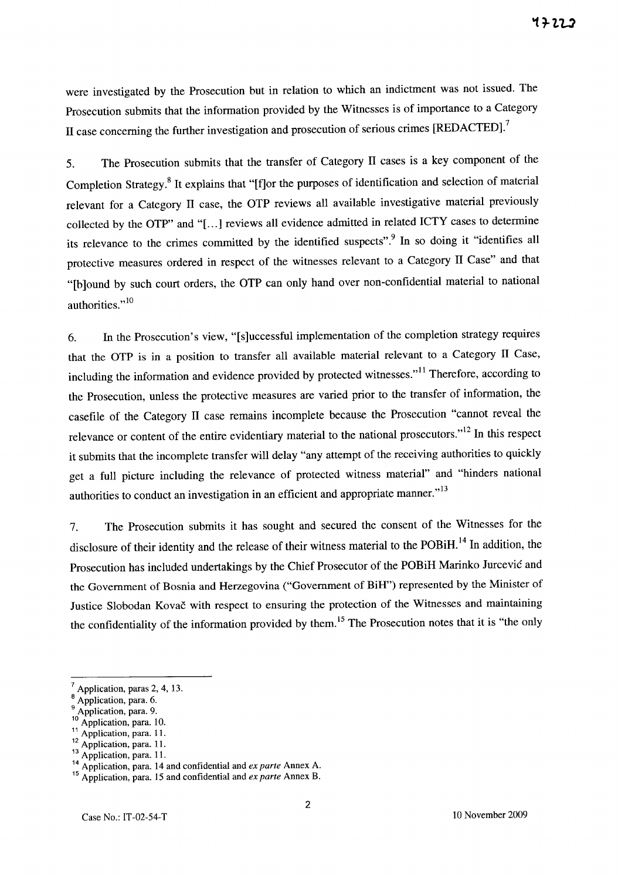were investigated by the Prosecution but in relation to which an indictment was not issued. The Prosecution submits that the information provided by the Witnesses is of importance to a Category II case concerning the further investigation and prosecution of serious crimes [REDACTED].<sup>7</sup>

5. The Prosecution submits that the transfer of Category II cases is a key component of the Completion Strategy.8 It explains that "[f]or the purposes of identification and selection of material relevant for a Category II case, the OTP reviews all available investigative material previously collected by the OTP" and "[...] reviews all evidence admitted in related ICTY cases to determine its relevance to the crimes committed by the identified suspects".<sup>9</sup> In so doing it "identifies all protective measures ordered in respect of the witnesses relevant to a Category II Case" and that "[b]ound by such court orders, the OTP can only hand over non-confidential material to national authorities."<sup>10</sup>

6. In the Prosecution's view, "[s]uccessful implementation of the completion strategy requires that the OTP is in a position to transfer all available material relevant to a Category II Case, including the information and evidence provided by protected witnesses."<sup>11</sup> Therefore, according to the Prosecution, unless the protective measures are varied prior to the transfer of information, the casefile of the Category II case remains incomplete because the Prosecution "cannot reveal the relevance or content of the entire evidentiary material to the national prosecutors."I2 In this respect it submits that the incomplete transfer will delay "any attempt of the receiving authorities to quickly get a full picture including the relevance of protected witness material" and "hinders national authorities to conduct an investigation in an efficient and appropriate manner."<sup>13</sup>

7. The Prosecution submits it has sought and secured the consent of the Witnesses for the disclosure of their identity and the release of their witness material to the POBiH.<sup>14</sup> In addition, the Prosecution has included undertakings by the Chief Prosecutor of the POBiH Marinko Jurcevic and the Government of Bosnia and Herzegovina ("Government of BiH") represented by the Minister of Justice Slobodan Kovac with respect to ensuring the protection of the Witnesses and maintaining the confidentiality of the information provided by them.<sup>15</sup> The Prosecution notes that it is "the only

Application, paras 2, 4, 13.

Application, para. 6.

Application, para. 9.

Application, para. 10.

Application, para. 11.

Application, para. 11.

<sup>&</sup>lt;sup>13</sup> Application, para. 11.

<sup>14</sup> Application, para. 14 and confidential and *ex parte* Annex A.

<sup>15</sup> Application, para. 15 and confidential and *ex parte* Annex B.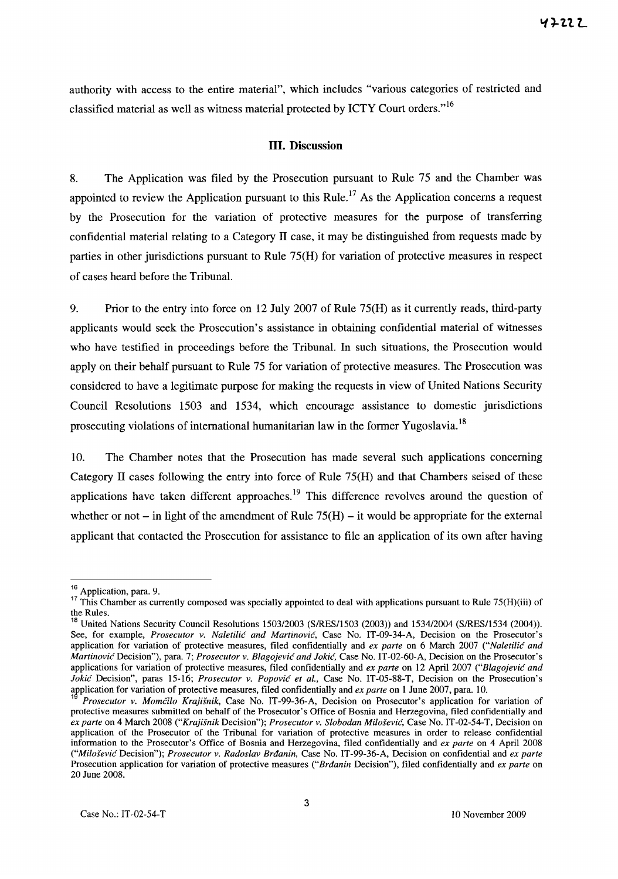authority with access to the entire material", which includes "various categories of restricted and classified material as well as witness material protected by ICTY Court orders."<sup>16</sup>

### **Ill. Discussion**

8. The Application was filed by the Prosecution pursuant to Rule 75 and the Chamber was appointed to review the Application pursuant to this Rule.<sup>17</sup> As the Application concerns a request by the Prosecution for the variation of protective measures for the purpose of transferring confidential material relating to a Category 11 case, it may be distinguished from requests made by parties in other jurisdictions pursuant to Rule 75(H) for variation of protective measures in respect of cases heard before the Tribunal.

9. Prior to the entry into force on 12 July 2007 of Rule 75(H) as it currently reads, third-party applicants would seek the Prosecution's assistance in obtaining confidential material of witnesses who have testified in proceedings before the Tribunal. **In** such situations, the Prosecution would apply on their behalf pursuant to Rule 75 for variation of protective measures. The Prosecution was considered to have a legitimate purpose for making the requests in view of United Nations Security Council Resolutions 1503 and 1534, which encourage assistance to domestic jurisdictions prosecuting violations of international humanitarian law in the former Yugoslavia.<sup>18</sup>

10. The Chamber notes that the Prosecution has made several such applications concerning Category 11 cases following the entry into force of Rule 75(H) and that Chambers seised of these applications have taken different approaches.<sup>19</sup> This difference revolves around the question of whether or not – in light of the amendment of Rule  $75(H)$  – it would be appropriate for the external applicant that contacted the Prosecution for assistance to file an application of its own after having

<sup>&</sup>lt;sup>16</sup> Application, para. 9.

<sup>&</sup>lt;sup>17</sup> This Chamber as currently composed was specially appointed to deal with applications pursuant to Rule 75(H)(iii) of the Rules.

<sup>&</sup>lt;sup>18</sup> United Nations Security Council Resolutions 1503/2003 (S/RES/1503 (2003)) and 1534/2004 (S/RES/1534 (2004)). See, for example, *Prosecutor* v. *Naletilic and Martinovic,* Case No. IT-09-34-A, Decision on the Prosecutor's application for variation of protective measures, filed confidentially and *ex parte* on 6 March 2007 *("Naletilic and Martinovic* Decision"), para. 7; *Prosecutor* v. *Blagojevic and Jokic,* Case No. IT -02-60-A, Decision on the Prosecutor's applications for variation of protective measures, filed confidentially and *ex parte* on 12 April 2007 *("Blagojevic and Jokic* Decision", paras IS-16; *Prosecutor* v. *Popovic et aI.,* Case No. IT-OS-88-T, Decision on the Prosecution's afplication for variation of protective measures, filed confidentially and *ex parte* on 1 June 2007, para. 10.

<sup>1</sup>*Prosecutor* v. *Momcilo Krajisnik,* Case No. IT-99-36-A, Decision on Prosecutor's application for variation of protective measures submitted on behalf of the Prosecutor's Office of Bosnia and Herzegovina, filed confidentially and *ex parte* on 4 March 2008 *("Krajisnik* Decision"); *Prosecutor* v. *Slobodan Milosevic,* Case No. IT-02-S4-T, Decision on application of the Prosecutor of the Tribunal for variation of protective measures in order to release confidential information to the Prosecutor's Office of Bosnia and Herzegovina, filed confidentially and *ex parte* on 4 April 2008 *("Milosevic* Decision"); *Prosecutor* v. *Radoslav Brdanin.* Case No. IT-99-36-A, Decision on confidential and *ex parte*  Prosecution application for variation of protective measures *("Brdanin* Decision"), filed confidentially and *ex parte* on 20 June 2008.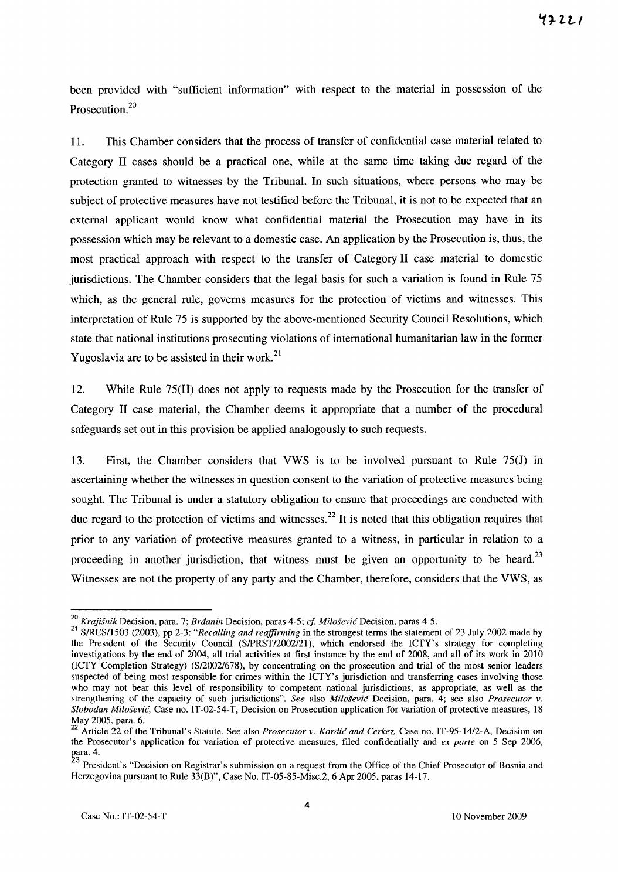been provided with "sufficient information" with respect to the material in possession of the Prosecution.2o

11. This Chamber considers that the process of transfer of confidential case material related to Category 11 cases should be a practical one, while at the same time taking due regard of the protection granted to witnesses by the Tribunal. In such situations, where persons who may be subject of protective measures have not testified before the Tribunal, it is not to be expected that an external applicant would know what confidential material the Prosecution may have in its possession which may be relevant to a domestic case. An application by the Prosecution is, thus, the most practical approach with respect to the transfer of Category 11 case material to domestic jurisdictions. The Chamber considers that the legal basis for such a variation is found in Rule 75 which, as the general rule, governs measures for the protection of victims and witnesses. This interpretation of Rule 75 is supported by the above-mentioned Security Council Resolutions, which state that national institutions prosecuting violations of international humanitarian law in the former Yugoslavia are to be assisted in their work.<sup>21</sup>

12. While Rule 75(H) does not apply to requests made by the Prosecution for the transfer of Category 11 case material, the Chamber deems it appropriate that a number of the procedural safeguards set out in this provision be applied analogously to such requests.

13. First, the Chamber considers that VWS is to be involved pursuant to Rule 75(J) in ascertaining whether the witnesses in question consent to the variation of protective measures being sought. The Tribunal is under a statutory obligation to ensure that proceedings are conducted with due regard to the protection of victims and witnesses.<sup>22</sup> It is noted that this obligation requires that prior to any variation of protective measures granted to a witness, in particular in relation to a proceeding in another jurisdiction, that witness must be given an opportunity to be heard.<sup>23</sup> Witnesses are not the property of any party and the Chamber, therefore, considers that the VWS, as

*<sup>20</sup> Krajisnik* Decision, para. 7; *Brdanin* Decision, paras 4-5; *ef MilosevicDecision,* paras 4-5.

<sup>21</sup> SIRESI1503 (2003), pp 2-3: *"Recalling and reaffirming* in the strongest tenus the statement of 23 July 2002 made by the President of the Security Council (SIPRSTI2002/2l), which endorsed the ICTY's strategy for completing investigations by the end of 2004, all trial activities at first instance by the end of 2008, and all of its work in 2010 (ICTY Completion Strategy) (Sl2oo2/678), by concentrating on the prosecution and trial of the most senior leaders suspected of being most responsible for crimes within the ICTY's jurisdiction and transferring cases involving those who may not bear this level of responsibility to competent national jurisdictions, as appropriate, as well as the strengthening of the capacity of such jurisdictions". *See* also *Milosevic* Decision, para. 4; see also *Prosecutor v. Slobodan Milosevic,* Case no. IT-02-54-T, Decision on Prosecution application for variation of protective measures, 18 May 2005, para. 6.

<sup>22</sup> Article 22 of the Tribunal's Statute. See also *Prosecutor v. Kordic and Cerkez,* Case no. IT-95-1412-A, Decision on the Prosecutor's application for variation of protective measures, filed confidentially and *ex parte* on 5 Sep 2006, para. 4.

<sup>&</sup>lt;sup>23</sup> President's "Decision on Registrar's submission on a request from the Office of the Chief Prosecutor of Bosnia and Herzegovina pursuant to Rule 33(B)", Case No. IT-05-85-Misc.2, 6 Apr 2005, paras 14-17.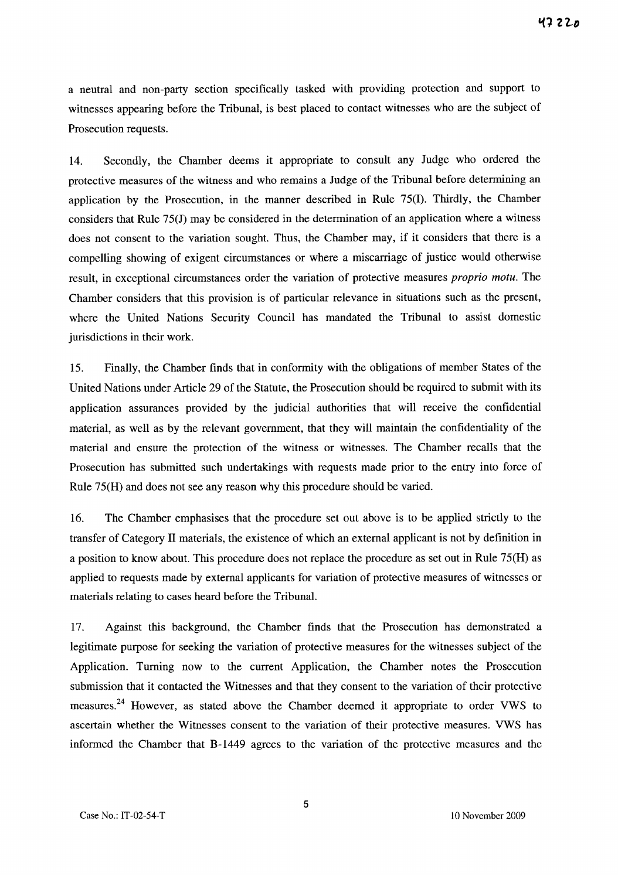a neutral and non-party section specifically tasked with providing protection and support to witnesses appearing before the Tribunal, is best placed to contact witnesses who are the subject of Prosecution requests.

14. Secondly, the Chamber deems it appropriate to consult any Judge who ordered the protective measures of the witness and who remains a Judge of the Tribunal before determining an application by the Prosecution, in the manner described in Rule 75(1). Thirdly, the Chamber considers that Rule 75(J) may be considered in the determination of an application where a witness does not consent to the variation sought. Thus, the Chamber may, if it considers that there is a compelling showing of exigent circumstances or where a miscarriage of justice would otherwise result, in exceptional circumstances order the variation of protective measures *proprio motu.* The Chamber considers that this provision is of particular relevance in situations such as the present, where the United Nations Security Council has mandated the Tribunal to assist domestic jurisdictions in their work.

15. Finally, the Chamber finds that in conformity with the obligations of member States of the United Nations under Article 29 of the Statute, the Prosecution should be required to submit with its application assurances provided by the judicial authorities that will receive the confidential material, as well as by the relevant government, that they will maintain the confidentiality of the material and ensure the protection of the witness or witnesses. The Chamber recalls that the Prosecution has submitted such undertakings with requests made prior to the entry into force of Rule 75(H) and does not see any reason why this procedure should be varied.

16. The Chamber emphasises that the procedure set out above is to be applied strictly to the transfer of Category 11 materials, the existence of which an external applicant is not by definition in a position to know about. This procedure does not replace the procedure as set out in Rule 75(H) as applied to requests made by external applicants for variation of protective measures of witnesses or materials relating to cases heard before the Tribunal.

17. Against this background, the Chamber finds that the Prosecution has demonstrated a legitimate purpose for seeking the variation of protective measures for the witnesses subject of the Application. Turning now to the current Application, the Chamber notes the Prosecution submission that it contacted the Witnesses and that they consent to the variation of their protective measures.<sup>24</sup> However, as stated above the Chamber deemed it appropriate to order VWS to ascertain whether the Witnesses consent to the variation of their protective measures. VWS has informed the Chamber that B-1449 agrees to the variation of the protective measures and the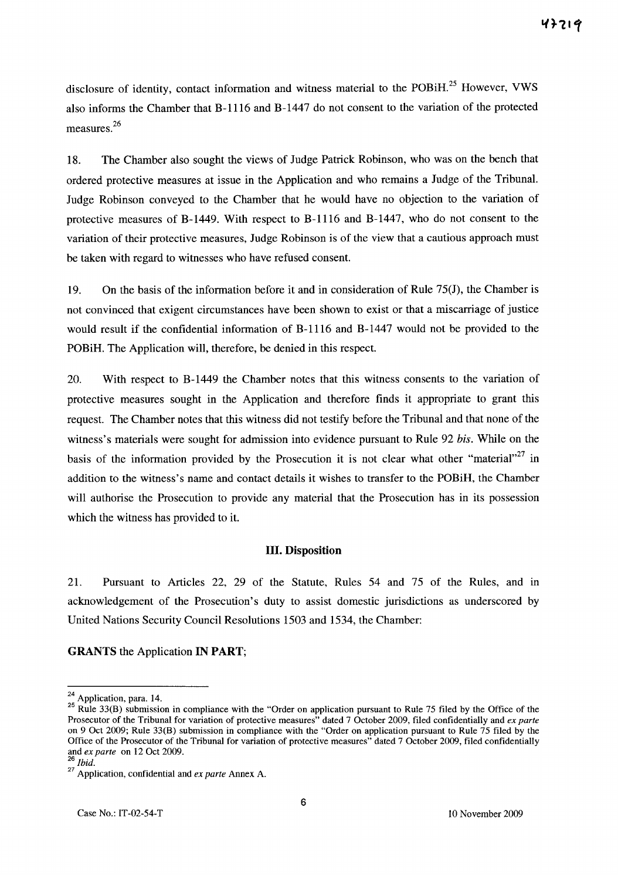disclosure of identity, contact information and witness material to the POBiH.<sup>25</sup> However, VWS also informs the Chamber that B-1116 and B-1447 do not consent to the variation of the protected measures.<sup>26</sup>

18. The Chamber also sought the views of Judge Patrick Robinson, who was on the bench that ordered protective measures at issue in the Application and who remains a Judge of the Tribunal. Judge Robinson conveyed to the Chamber that he would have no objection to the variation of protective measures of B-1449. With respect to B-1116 and B-1447, who do not consent to the variation of their protective measures, Judge Robinson is of the view that a cautious approach must be taken with regard to witnesses who have refused consent.

19. On the basis of the information before it and in consideration of Rule 75(J), the Chamber is not convinced that exigent circumstances have been shown to exist or that a miscarriage of justice would result if the confidential information of B-1116 and B-l447 would not be provided to the POBiH. The Application will, therefore, be denied in this respect.

20. With respect to B-1449 the Chamber notes that this witness consents to the variation of protective measures sought in the Application and therefore finds it appropriate to grant this request. The Chamber notes that this witness did not testify before the Tribunal and that none of the witness's materials were sought for admission into evidence pursuant to Rule 92 *his.* While on the basis of the information provided by the Prosecution it is not clear what other "material"<sup>27</sup> in addition to the witness's name and contact details it wishes to transfer to the POBiH, the Chamber will authorise the Prosecution to provide any material that the Prosecution has in its possession which the witness has provided to it.

#### **Ill. Disposition**

21. Pursuant to Articles 22, 29 of the Statute, Rules 54 and 75 of the Rules, and in acknowledgement of the Prosecution's duty to assist domestic jurisdictions as underscored by United Nations Security Council Resolutions 1503 and 1534, the Chamber:

**GRANTS** the Application **IN PART;** 

 $^{24}$  Application, para. 14.

<sup>&</sup>lt;sup>25</sup> Rule 33(B) submission in compliance with the "Order on application pursuant to Rule 75 filed by the Office of the Prosecutor of the Tribunal for variation of protective measures" dated 7 October 2009, filed confidentially and *ex parte*  Prosecutor of the Tribunal for variation of protective measures" dated 7 October 2009, filed confidentially and *ex parte* on 9 Oct 2009; Rule 33(B) submission in compliance with the "Order on application pursuant to Rule Office of the Prosecutor of the Tribunal for variation of protective measures" dated 7 October 2009, filed confidentially and *ex parte* on 12 Oct 2009.

*<sup>26</sup> Ibid.* 

<sup>27</sup> Application, confidential and *ex parte* Annex A.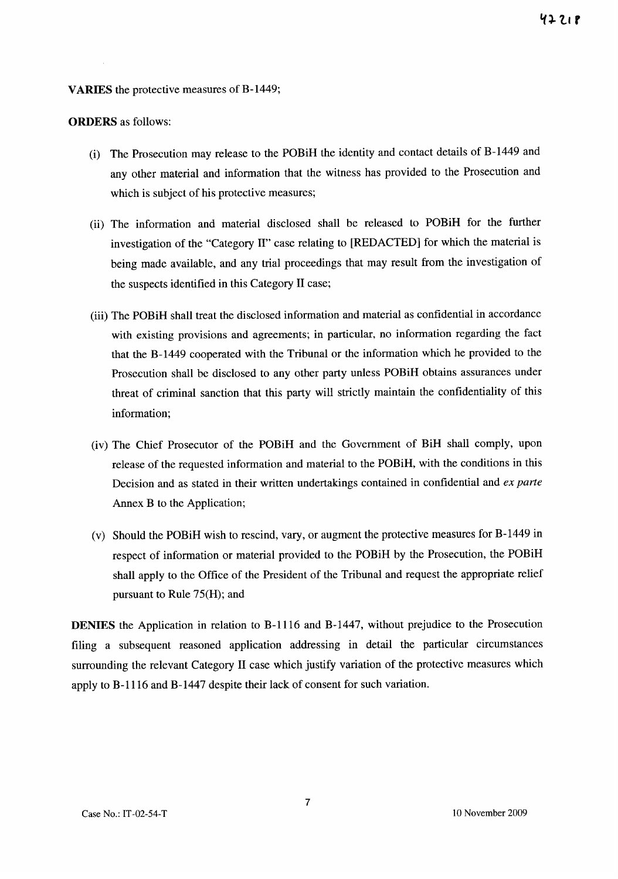#### **VARIES** the protective measures of B-1449;

#### **ORDERS** as follows:

- (i) The Prosecution may release to the POBiH the identity and contact details of B-1449 and any other material and information that the witness has provided to the Prosecution and which is subject of his protective measures;
- (ii) The information and material disclosed shall be released to POBiH for the further investigation of the "Category II" case relating to [REDACTED] for which the material is being made available, and any trial proceedings that may result from the investigation of the suspects identified in this Category II case;
- (iii) The POBiH shall treat the disclosed information and material as confidential in accordance with existing provisions and agreements; in particular, no information regarding the fact that the B-1449 cooperated with the Tribunal or the information which he provided to the Prosecution shall be disclosed to any other party unless POBiH obtains assurances under threat of criminal sanction that this party will strictly maintain the confidentiality of this information;
- (iv) The Chief Prosecutor of the POBiH and the Government of BiH shall comply, upon release of the requested information and material to the POBiH, with the conditions in this Decision and as stated in their written undertakings contained in confidential and *ex parte*  Annex B to the Application;
- Cv) Should the POBiH wish to rescind, vary, or augment the protective measures for B-1449 in respect of information or material provided to the POBiH by the Prosecution, the POBiH shall apply to the Office of the President of the Tribunal and request the appropriate relief pursuant to Rule 75(H); and

**DENIES** the Application in relation to B-1116 and B-1447, without prejudice to the Prosecution filing a subsequent reasoned application addressing in detail the particular circumstances surrounding the relevant Category II case which justify variation of the protective measures which apply to B-1116 and B-1447 despite their lack of consent for such variation.